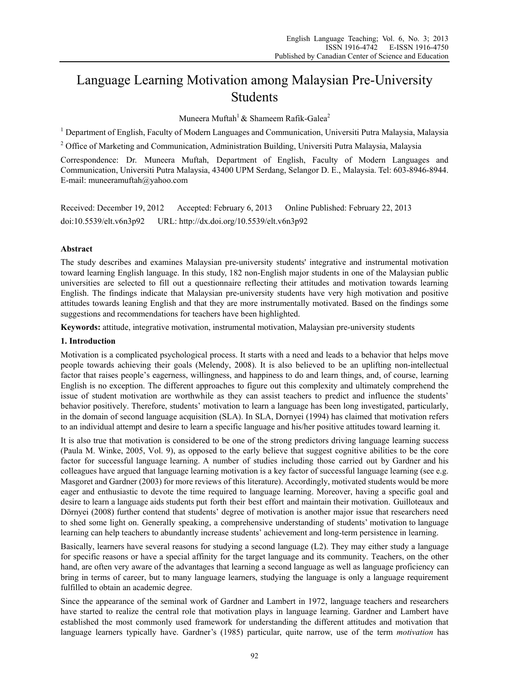# Language Learning Motivation among Malaysian Pre-University Students

Muneera Muftah<sup>1</sup> & Shameem Rafik-Galea<sup>2</sup>

<sup>1</sup> Department of English, Faculty of Modern Languages and Communication, Universiti Putra Malaysia, Malaysia

<sup>2</sup> Office of Marketing and Communication, Administration Building, Universiti Putra Malaysia, Malaysia

Correspondence: Dr. Muneera Muftah, Department of English, Faculty of Modern Languages and Communication, Universiti Putra Malaysia, 43400 UPM Serdang, Selangor D. E., Malaysia. Tel: 603-8946-8944. E-mail: muneeramuftah@yahoo.com

Received: December 19, 2012 Accepted: February 6, 2013 Online Published: February 22, 2013 doi:10.5539/elt.v6n3p92 URL: http://dx.doi.org/10.5539/elt.v6n3p92

## **Abstract**

The study describes and examines Malaysian pre-university students' integrative and instrumental motivation toward learning English language. In this study, 182 non-English major students in one of the Malaysian public universities are selected to fill out a questionnaire reflecting their attitudes and motivation towards learning English. The findings indicate that Malaysian pre-university students have very high motivation and positive attitudes towards leaning English and that they are more instrumentally motivated. Based on the findings some suggestions and recommendations for teachers have been highlighted.

**Keywords:** attitude, integrative motivation, instrumental motivation, Malaysian pre-university students

#### **1. Introduction**

Motivation is a complicated psychological process. It starts with a need and leads to a behavior that helps move people towards achieving their goals (Melendy, 2008). It is also believed to be an uplifting non-intellectual factor that raises people's eagerness, willingness, and happiness to do and learn things, and, of course, learning English is no exception. The different approaches to figure out this complexity and ultimately comprehend the issue of student motivation are worthwhile as they can assist teachers to predict and influence the students' behavior positively. Therefore, students' motivation to learn a language has been long investigated, particularly, in the domain of second language acquisition (SLA). In SLA, Dornyei (1994) has claimed that motivation refers to an individual attempt and desire to learn a specific language and his/her positive attitudes toward learning it.

It is also true that motivation is considered to be one of the strong predictors driving language learning success (Paula M. Winke, 2005, Vol. 9), as opposed to the early believe that suggest cognitive abilities to be the core factor for successful language learning. A number of studies including those carried out by Gardner and his colleagues have argued that language learning motivation is a key factor of successful language learning (see e.g. Masgoret and Gardner (2003) for more reviews of this literature). Accordingly, motivated students would be more eager and enthusiastic to devote the time required to language learning. Moreover, having a specific goal and desire to learn a language aids students put forth their best effort and maintain their motivation. Guilloteaux and Dörnyei (2008) further contend that students' degree of motivation is another major issue that researchers need to shed some light on. Generally speaking, a comprehensive understanding of students' motivation to language learning can help teachers to abundantly increase students' achievement and long-term persistence in learning.

Basically, learners have several reasons for studying a second language (L2). They may either study a language for specific reasons or have a special affinity for the target language and its community. Teachers, on the other hand, are often very aware of the advantages that learning a second language as well as language proficiency can bring in terms of career, but to many language learners, studying the language is only a language requirement fulfilled to obtain an academic degree.

Since the appearance of the seminal work of Gardner and Lambert in 1972, language teachers and researchers have started to realize the central role that motivation plays in language learning. Gardner and Lambert have established the most commonly used framework for understanding the different attitudes and motivation that language learners typically have. Gardner's (1985) particular, quite narrow, use of the term *motivation* has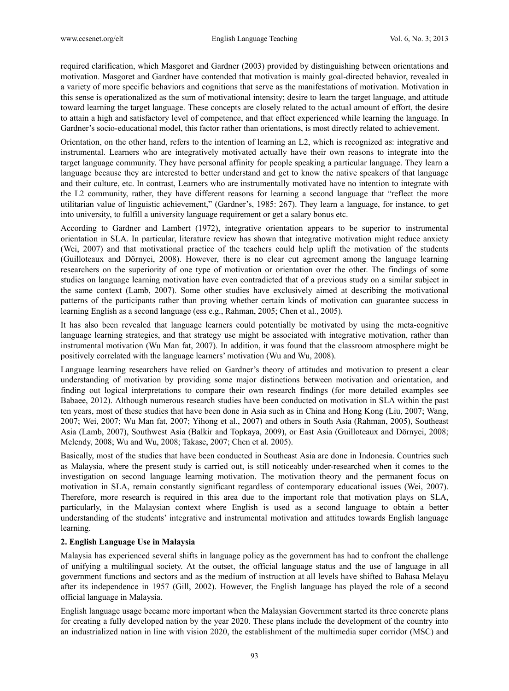required clarification, which Masgoret and Gardner (2003) provided by distinguishing between orientations and motivation. Masgoret and Gardner have contended that motivation is mainly goal-directed behavior, revealed in a variety of more specific behaviors and cognitions that serve as the manifestations of motivation. Motivation in this sense is operationalized as the sum of motivational intensity; desire to learn the target language, and attitude toward learning the target language. These concepts are closely related to the actual amount of effort, the desire to attain a high and satisfactory level of competence, and that effect experienced while learning the language. In Gardner's socio-educational model, this factor rather than orientations, is most directly related to achievement.

Orientation, on the other hand, refers to the intention of learning an L2, which is recognized as: integrative and instrumental. Learners who are integratively motivated actually have their own reasons to integrate into the target language community. They have personal affinity for people speaking a particular language. They learn a language because they are interested to better understand and get to know the native speakers of that language and their culture, etc. In contrast, Learners who are instrumentally motivated have no intention to integrate with the L2 community, rather, they have different reasons for learning a second language that "reflect the more utilitarian value of linguistic achievement," (Gardner's, 1985: 267). They learn a language, for instance, to get into university, to fulfill a university language requirement or get a salary bonus etc.

According to Gardner and Lambert (1972), integrative orientation appears to be superior to instrumental orientation in SLA. In particular, literature review has shown that integrative motivation might reduce anxiety (Wei, 2007) and that motivational practice of the teachers could help uplift the motivation of the students (Guilloteaux and Dörnyei, 2008). However, there is no clear cut agreement among the language learning researchers on the superiority of one type of motivation or orientation over the other. The findings of some studies on language learning motivation have even contradicted that of a previous study on a similar subject in the same context (Lamb, 2007). Some other studies have exclusively aimed at describing the motivational patterns of the participants rather than proving whether certain kinds of motivation can guarantee success in learning English as a second language (ess e.g., Rahman, 2005; Chen et al., 2005).

It has also been revealed that language learners could potentially be motivated by using the meta-cognitive language learning strategies, and that strategy use might be associated with integrative motivation, rather than instrumental motivation (Wu Man fat, 2007). In addition, it was found that the classroom atmosphere might be positively correlated with the language learners' motivation (Wu and Wu, 2008).

Language learning researchers have relied on Gardner's theory of attitudes and motivation to present a clear understanding of motivation by providing some major distinctions between motivation and orientation, and finding out logical interpretations to compare their own research findings (for more detailed examples see Babaee, 2012). Although numerous research studies have been conducted on motivation in SLA within the past ten years, most of these studies that have been done in Asia such as in China and Hong Kong (Liu, 2007; Wang, 2007; Wei, 2007; Wu Man fat, 2007; Yihong et al., 2007) and others in South Asia (Rahman, 2005), Southeast Asia (Lamb, 2007), Southwest Asia (Balkir and Topkaya, 2009), or East Asia (Guilloteaux and Dörnyei, 2008; Melendy, 2008; Wu and Wu, 2008; Takase, 2007; Chen et al. 2005).

Basically, most of the studies that have been conducted in Southeast Asia are done in Indonesia. Countries such as Malaysia, where the present study is carried out, is still noticeably under-researched when it comes to the investigation on second language learning motivation. The motivation theory and the permanent focus on motivation in SLA, remain constantly significant regardless of contemporary educational issues (Wei, 2007). Therefore, more research is required in this area due to the important role that motivation plays on SLA, particularly, in the Malaysian context where English is used as a second language to obtain a better understanding of the students' integrative and instrumental motivation and attitudes towards English language learning.

## **2. English Language Use in Malaysia**

Malaysia has experienced several shifts in language policy as the government has had to confront the challenge of unifying a multilingual society. At the outset, the official language status and the use of language in all government functions and sectors and as the medium of instruction at all levels have shifted to Bahasa Melayu after its independence in 1957 (Gill, 2002). However, the English language has played the role of a second official language in Malaysia.

English language usage became more important when the Malaysian Government started its three concrete plans for creating a fully developed nation by the year 2020. These plans include the development of the country into an industrialized nation in line with vision 2020, the establishment of the multimedia super corridor (MSC) and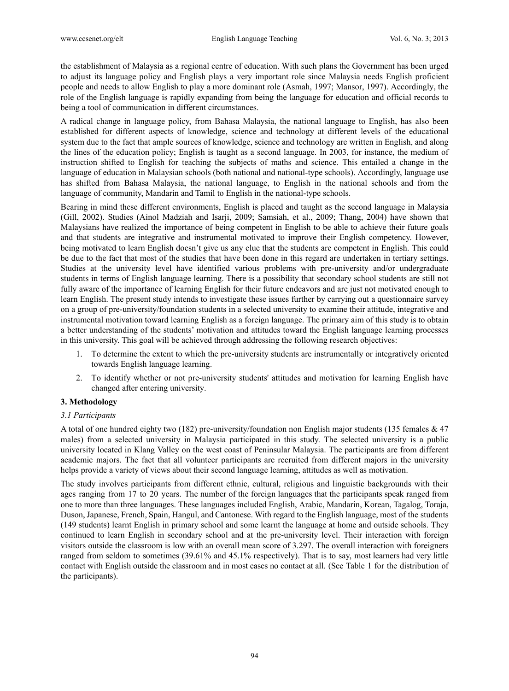the establishment of Malaysia as a regional centre of education. With such plans the Government has been urged to adjust its language policy and English plays a very important role since Malaysia needs English proficient people and needs to allow English to play a more dominant role (Asmah, 1997; Mansor, 1997). Accordingly, the role of the English language is rapidly expanding from being the language for education and official records to being a tool of communication in different circumstances.

A radical change in language policy, from Bahasa Malaysia, the national language to English, has also been established for different aspects of knowledge, science and technology at different levels of the educational system due to the fact that ample sources of knowledge, science and technology are written in English, and along the lines of the education policy; English is taught as a second language. In 2003, for instance, the medium of instruction shifted to English for teaching the subjects of maths and science. This entailed a change in the language of education in Malaysian schools (both national and national-type schools). Accordingly, language use has shifted from Bahasa Malaysia, the national language, to English in the national schools and from the language of community, Mandarin and Tamil to English in the national-type schools.

Bearing in mind these different environments, English is placed and taught as the second language in Malaysia (Gill, 2002). Studies (Ainol Madziah and Isarji, 2009; Samsiah, et al., 2009; Thang, 2004) have shown that Malaysians have realized the importance of being competent in English to be able to achieve their future goals and that students are integrative and instrumental motivated to improve their English competency. However, being motivated to learn English doesn't give us any clue that the students are competent in English. This could be due to the fact that most of the studies that have been done in this regard are undertaken in tertiary settings. Studies at the university level have identified various problems with pre-university and/or undergraduate students in terms of English language learning. There is a possibility that secondary school students are still not fully aware of the importance of learning English for their future endeavors and are just not motivated enough to learn English. The present study intends to investigate these issues further by carrying out a questionnaire survey on a group of pre-university/foundation students in a selected university to examine their attitude, integrative and instrumental motivation toward learning English as a foreign language. The primary aim of this study is to obtain a better understanding of the students' motivation and attitudes toward the English language learning processes in this university. This goal will be achieved through addressing the following research objectives:

- 1. To determine the extent to which the pre-university students are instrumentally or integratively oriented towards English language learning.
- 2. To identify whether or not pre-university students' attitudes and motivation for learning English have changed after entering university.

# **3. Methodology**

## *3.1 Participants*

A total of one hundred eighty two (182) pre-university/foundation non English major students (135 females & 47 males) from a selected university in Malaysia participated in this study. The selected university is a public university located in Klang Valley on the west coast of Peninsular Malaysia. The participants are from different academic majors. The fact that all volunteer participants are recruited from different majors in the university helps provide a variety of views about their second language learning, attitudes as well as motivation.

The study involves participants from different ethnic, cultural, religious and linguistic backgrounds with their ages ranging from 17 to 20 years. The number of the foreign languages that the participants speak ranged from one to more than three languages. These languages included English, Arabic, Mandarin, Korean, Tagalog, Toraja, Duson, Japanese, French, Spain, Hangul, and Cantonese. With regard to the English language, most of the students (149 students) learnt English in primary school and some learnt the language at home and outside schools. They continued to learn English in secondary school and at the pre-university level. Their interaction with foreign visitors outside the classroom is low with an overall mean score of 3.297. The overall interaction with foreigners ranged from seldom to sometimes (39.61% and 45.1% respectively). That is to say, most learners had very little contact with English outside the classroom and in most cases no contact at all. (See Table 1 for the distribution of the participants).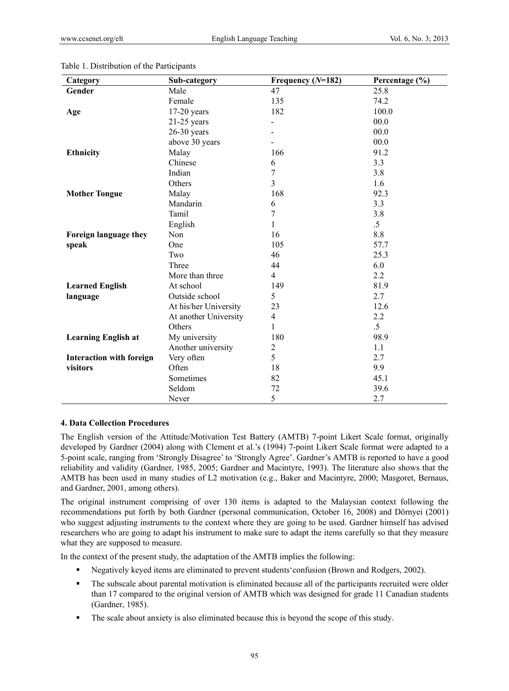| Category                        | Sub-category          | Frequency $(N=182)$      | Percentage (%) |
|---------------------------------|-----------------------|--------------------------|----------------|
| Gender                          | Male                  | 47                       | 25.8           |
|                                 | Female                | 135                      | 74.2           |
| Age                             | $17-20$ years         | 182                      | 100.0          |
|                                 | $21-25$ years         |                          | 00.0           |
|                                 | $26-30$ years         |                          | 00.0           |
|                                 | above 30 years        |                          | 00.0           |
| <b>Ethnicity</b>                | Malay                 | 166                      | 91.2           |
|                                 | Chinese               | 6                        | 3.3            |
|                                 | Indian                | $\overline{7}$           | 3.8            |
|                                 | Others                | $\overline{3}$           | 1.6            |
| <b>Mother Tongue</b>            | Malay                 | 168                      | 92.3           |
|                                 | Mandarin              | 6                        | 3.3            |
|                                 | Tamil                 | $\overline{7}$           | 3.8            |
|                                 | English               | $\mathbf{1}$             | $.5\,$         |
| Foreign language they           | Non                   | 16                       | 8.8            |
| speak                           | One                   | 105                      | 57.7           |
|                                 | Two                   | 46                       | 25.3           |
|                                 | Three                 | 44                       | 6.0            |
|                                 | More than three       | $\overline{4}$           | 2.2            |
| <b>Learned English</b>          | At school             | 149                      | 81.9           |
| language                        | Outside school        | 5                        | 2.7            |
|                                 | At his/her University | 23                       | 12.6           |
|                                 | At another University | $\overline{\mathcal{A}}$ | 2.2            |
|                                 | Others                | 1                        | $.5\,$         |
| <b>Learning English at</b>      | My university         | 180                      | 98.9           |
|                                 | Another university    | $\overline{2}$           | 1.1            |
| <b>Interaction with foreign</b> | Very often            | 5                        | 2.7            |
| visitors                        | Often                 | 18                       | 9.9            |
|                                 | Sometimes             | 82                       | 45.1           |
|                                 | Seldom                | 72                       | 39.6           |
|                                 | Never                 | 5                        | 2.7            |

#### Table 1. Distribution of the Participants

## **4. Data Collection Procedures**

The English version of the Attitude/Motivation Test Battery (AMTB) 7-point Likert Scale format, originally developed by Gardner (2004) along with Clement et al.'s (1994) 7-point Likert Scale format were adapted to a 5-point scale, ranging from 'Strongly Disagree' to 'Strongly Agree'. Gardner's AMTB is reported to have a good reliability and validity (Gardner, 1985, 2005; Gardner and Macintyre, 1993). The literature also shows that the AMTB has been used in many studies of L2 motivation (e.g., Baker and Macintyre, 2000; Masgoret, Bernaus, and Gardner, 2001, among others).

The original instrument comprising of over 130 items is adapted to the Malaysian context following the recommendations put forth by both Gardner (personal communication, October 16, 2008) and Dörnyei (2001) who suggest adjusting instruments to the context where they are going to be used. Gardner himself has advised researchers who are going to adapt his instrument to make sure to adapt the items carefully so that they measure what they are supposed to measure.

In the context of the present study, the adaptation of the AMTB implies the following:

- Negatively keyed items are eliminated to prevent students'confusion (Brown and Rodgers, 2002).
- The subscale about parental motivation is eliminated because all of the participants recruited were older than 17 compared to the original version of AMTB which was designed for grade 11 Canadian students (Gardner, 1985).
- The scale about anxiety is also eliminated because this is beyond the scope of this study.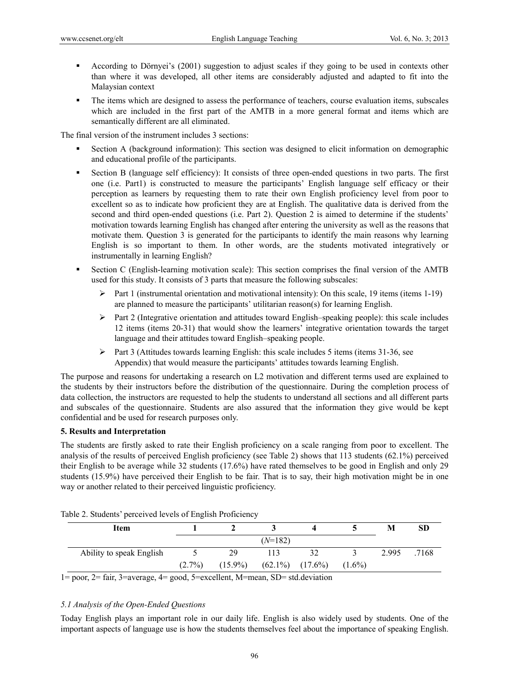- According to Dörnyei's (2001) suggestion to adjust scales if they going to be used in contexts other than where it was developed, all other items are considerably adjusted and adapted to fit into the Malaysian context
- The items which are designed to assess the performance of teachers, course evaluation items, subscales which are included in the first part of the AMTB in a more general format and items which are semantically different are all eliminated.

The final version of the instrument includes 3 sections:

- Section A (background information): This section was designed to elicit information on demographic and educational profile of the participants.
- Section B (language self efficiency): It consists of three open-ended questions in two parts. The first one (i.e. Part1) is constructed to measure the participants' English language self efficacy or their perception as learners by requesting them to rate their own English proficiency level from poor to excellent so as to indicate how proficient they are at English. The qualitative data is derived from the second and third open-ended questions (i.e. Part 2). Question 2 is aimed to determine if the students' motivation towards learning English has changed after entering the university as well as the reasons that motivate them. Question 3 is generated for the participants to identify the main reasons why learning English is so important to them. In other words, are the students motivated integratively or instrumentally in learning English?
- Section C (English-learning motivation scale): This section comprises the final version of the AMTB used for this study. It consists of 3 parts that measure the following subscales:
	- $\triangleright$  Part 1 (instrumental orientation and motivational intensity): On this scale, 19 items (items 1-19) are planned to measure the participants' utilitarian reason(s) for learning English.
	- $\triangleright$  Part 2 (Integrative orientation and attitudes toward English–speaking people): this scale includes 12 items (items 20-31) that would show the learners' integrative orientation towards the target language and their attitudes toward English–speaking people.
	- $\triangleright$  Part 3 (Attitudes towards learning English: this scale includes 5 items (items 31-36, see Appendix) that would measure the participants' attitudes towards learning English.

The purpose and reasons for undertaking a research on L2 motivation and different terms used are explained to the students by their instructors before the distribution of the questionnaire. During the completion process of data collection, the instructors are requested to help the students to understand all sections and all different parts and subscales of the questionnaire. Students are also assured that the information they give would be kept confidential and be used for research purposes only.

## **5. Results and Interpretation**

The students are firstly asked to rate their English proficiency on a scale ranging from poor to excellent. The analysis of the results of perceived English proficiency (see Table 2) shows that 113 students (62.1%) perceived their English to be average while 32 students (17.6%) have rated themselves to be good in English and only 29 students (15.9%) have perceived their English to be fair. That is to say, their high motivation might be in one way or another related to their perceived linguistic proficiency.

| Item                     |           |            |                       |    |           | M     | SD    |
|--------------------------|-----------|------------|-----------------------|----|-----------|-------|-------|
|                          |           |            | $(N=182)$             |    |           |       |       |
| Ability to speak English |           | 29         |                       | 32 |           | 2.995 | .7168 |
|                          | $(2.7\%)$ | $(15.9\%)$ | $(62.1\%)$ $(17.6\%)$ |    | $(1.6\%)$ |       |       |
| .                        |           |            |                       | .  |           |       |       |

Table 2. Students' perceived levels of English Proficiency

1= poor, 2= fair, 3=average, 4= good, 5=excellent, M=mean, SD= std.deviation

## *5.1 Analysis of the Open-Ended Questions*

Today English plays an important role in our daily life. English is also widely used by students. One of the important aspects of language use is how the students themselves feel about the importance of speaking English.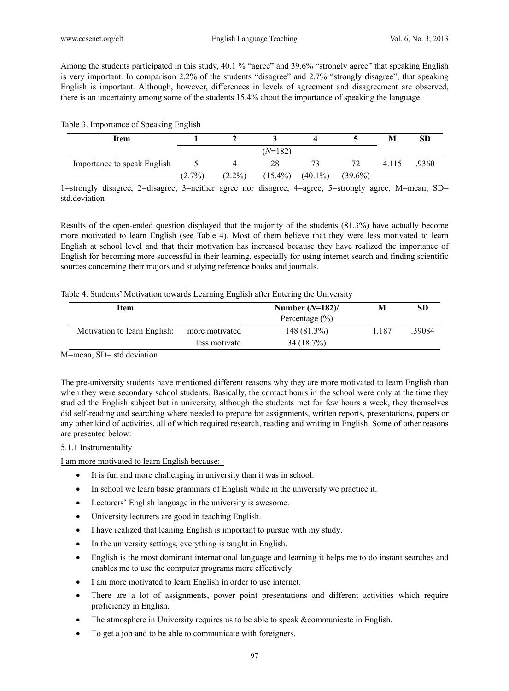Among the students participated in this study, 40.1 % "agree" and 39.6% "strongly agree" that speaking English is very important. In comparison 2.2% of the students "disagree" and 2.7% "strongly disagree", that speaking English is important. Although, however, differences in levels of agreement and disagreement are observed, there is an uncertainty among some of the students 15.4% about the importance of speaking the language.

|  | Table 3. Importance of Speaking English |  |
|--|-----------------------------------------|--|
|--|-----------------------------------------|--|

| Item                        |           |           |                       |            | M     | SD    |
|-----------------------------|-----------|-----------|-----------------------|------------|-------|-------|
|                             |           |           | $(N=182)$             |            |       |       |
| Importance to speak English |           |           | 28                    | 72         | 4.115 | .9360 |
|                             | $(2.7\%)$ | $(2.2\%)$ | $(15.4\%)$ $(40.1\%)$ | $(39.6\%)$ |       |       |

1=strongly disagree, 2=disagree, 3=neither agree nor disagree, 4=agree, 5=strongly agree, M=mean, SD= std deviation

Results of the open-ended question displayed that the majority of the students (81.3%) have actually become more motivated to learn English (see Table 4). Most of them believe that they were less motivated to learn English at school level and that their motivation has increased because they have realized the importance of English for becoming more successful in their learning, especially for using internet search and finding scientific sources concerning their majors and studying reference books and journals.

|  | Table 4. Students' Motivation towards Learning English after Entering the University |  |  |
|--|--------------------------------------------------------------------------------------|--|--|
|  |                                                                                      |  |  |

| Item                         |                | Number $(N=182)$ /<br>Percentage $(\% )$ | м     | SD     |
|------------------------------|----------------|------------------------------------------|-------|--------|
| Motivation to learn English: | more motivated | 148 (81.3%)                              | 1.187 | .39084 |
|                              | less motivate  | 34 (18.7%)                               |       |        |

M=mean, SD= std.deviation

The pre-university students have mentioned different reasons why they are more motivated to learn English than when they were secondary school students. Basically, the contact hours in the school were only at the time they studied the English subject but in university, although the students met for few hours a week, they themselves did self-reading and searching where needed to prepare for assignments, written reports, presentations, papers or any other kind of activities, all of which required research, reading and writing in English. Some of other reasons are presented below:

## 5.1.1 Instrumentality

I am more motivated to learn English because:

- It is fun and more challenging in university than it was in school.
- In school we learn basic grammars of English while in the university we practice it.
- Lecturers' English language in the university is awesome.
- University lecturers are good in teaching English.
- I have realized that leaning English is important to pursue with my study.
- In the university settings, everything is taught in English.
- English is the most dominant international language and learning it helps me to do instant searches and enables me to use the computer programs more effectively.
- I am more motivated to learn English in order to use internet.
- There are a lot of assignments, power point presentations and different activities which require proficiency in English.
- The atmosphere in University requires us to be able to speak &communicate in English.
- To get a job and to be able to communicate with foreigners.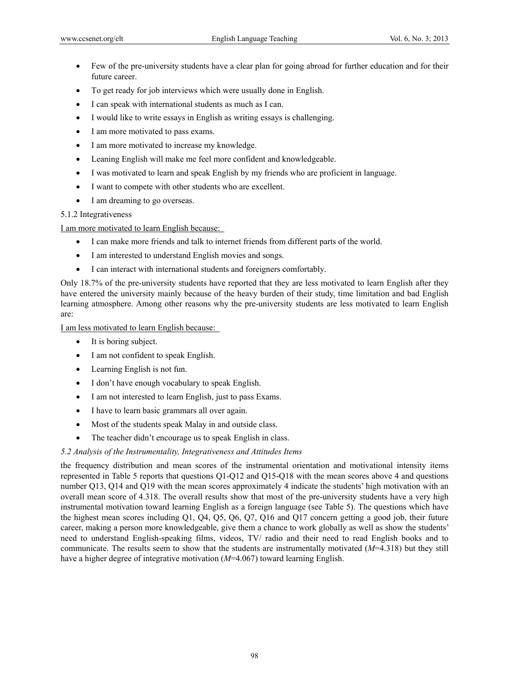- Few of the pre-university students have a clear plan for going abroad for further education and for their future career.
- To get ready for job interviews which were usually done in English.
- I can speak with international students as much as I can.
- I would like to write essays in English as writing essays is challenging.
- I am more motivated to pass exams.
- I am more motivated to increase my knowledge.
- Leaning English will make me feel more confident and knowledgeable.
- I was motivated to learn and speak English by my friends who are proficient in language.
- I want to compete with other students who are excellent.
- I am dreaming to go overseas.

## 5.1.2 Integrativeness

I am more motivated to learn English because:

- I can make more friends and talk to internet friends from different parts of the world.
- I am interested to understand English movies and songs.
- I can interact with international students and foreigners comfortably.

Only 18.7% of the pre-university students have reported that they are less motivated to learn English after they have entered the university mainly because of the heavy burden of their study, time limitation and bad English learning atmosphere. Among other reasons why the pre-university students are less motivated to learn English are:

I am less motivated to learn English because:

- It is boring subject.
- I am not confident to speak English.
- Learning English is not fun.
- I don't have enough vocabulary to speak English.
- I am not interested to learn English, just to pass Exams.
- I have to learn basic grammars all over again.
- Most of the students speak Malay in and outside class.
- The teacher didn't encourage us to speak English in class.

## *5.2 Analysis of the Instrumentality, Integrativeness and Attitudes Items*

the frequency distribution and mean scores of the instrumental orientation and motivational intensity items represented in Table 5 reports that questions Q1-Q12 and Q15-Q18 with the mean scores above 4 and questions number Q13, Q14 and Q19 with the mean scores approximately 4 indicate the students' high motivation with an overall mean score of 4.318. The overall results show that most of the pre-university students have a very high instrumental motivation toward learning English as a foreign language (see Table 5). The questions which have the highest mean scores including Q1, Q4, Q5, Q6, Q7, Q16 and Q17 concern getting a good job, their future career, making a person more knowledgeable, give them a chance to work globally as well as show the students' need to understand English-speaking films, videos, TV/ radio and their need to read English books and to communicate. The results seem to show that the students are instrumentally motivated (*M*=4.318) but they still have a higher degree of integrative motivation (*M*=4.067) toward learning English.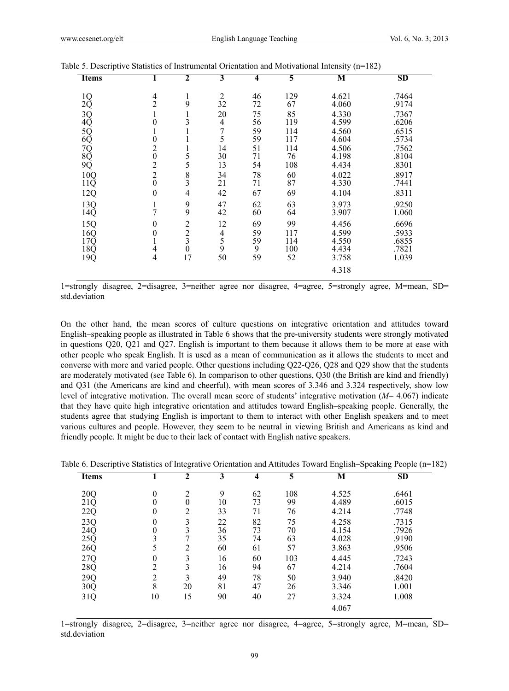| <b>Items</b>                                                          |                  | $\overline{2}$                             | 3                                          | 4  | 5   | ּ ע<br>М | $\overline{\phantom{a}}$<br><b>SD</b> |
|-----------------------------------------------------------------------|------------------|--------------------------------------------|--------------------------------------------|----|-----|----------|---------------------------------------|
|                                                                       |                  |                                            |                                            |    |     |          |                                       |
| 1Q                                                                    | 4                | 1                                          | $\overline{2}$                             | 46 | 129 | 4.621    | .7464                                 |
| $2\tilde{Q}$                                                          | $\overline{2}$   | 9                                          | 32                                         | 72 | 67  | 4.060    | .9174                                 |
| 3Q<br>4Q<br>5Q<br>6Q                                                  | 1                | $\mathbf{1}$                               | 20                                         | 75 | 85  | 4.330    | .7367                                 |
|                                                                       | 0                | 3                                          | 4                                          | 56 | 119 | 4.599    | .6206                                 |
|                                                                       | $\mathbf{I}$     | 1                                          | 7                                          | 59 | 114 | 4.560    | .6515                                 |
|                                                                       | 0                | 1                                          | 5                                          | 59 | 117 | 4.604    | .5734                                 |
|                                                                       | $\overline{c}$   |                                            | 14                                         | 51 | 114 | 4.506    | .7562                                 |
|                                                                       | $\boldsymbol{0}$ | $\begin{array}{c} 1 \\ 5 \\ 5 \end{array}$ | 30                                         | 71 | 76  | 4.198    | .8104                                 |
| $\begin{array}{c} 7 \text{Q} \\ 8 \text{Q} \\ 9 \text{Q} \end{array}$ | $\overline{2}$   |                                            | 13                                         | 54 | 108 | 4.434    | .8301                                 |
| 10Q                                                                   | $\overline{c}$   | $\frac{8}{3}$                              | 34                                         | 78 | 60  | 4.022    | .8917                                 |
| $11\overline{Q}$                                                      | $\overline{0}$   |                                            | 21                                         | 71 | 87  | 4.330    | .7441                                 |
| 12Q                                                                   | $\mathbf{0}$     | 4                                          | 42                                         | 67 | 69  | 4.104    | .8311                                 |
| 13Q                                                                   | 1                |                                            | 47                                         | 62 | 63  | 3.973    | .9250                                 |
| 14Q                                                                   | 7                | $\frac{9}{9}$                              | 42                                         | 60 | 64  | 3.907    | 1.060                                 |
| 15Q                                                                   | 0                | $\overline{2}$                             | 12                                         | 69 | 99  | 4.456    | .6696                                 |
| 16Q                                                                   | 0                | $\frac{2}{3}$                              |                                            | 59 | 117 | 4.599    | .5933                                 |
| 17Q                                                                   | $\mathbf{I}$     |                                            | $\begin{array}{c} 4 \\ 5 \\ 9 \end{array}$ | 59 | 114 | 4.550    | .6855                                 |
| 18Q                                                                   | 4                | $\bar{0}$                                  |                                            | 9  | 100 | 4.434    | .7821                                 |
| 19Q                                                                   | 4                | 17                                         | 50                                         | 59 | 52  | 3.758    | 1.039                                 |
|                                                                       |                  |                                            |                                            |    |     | 4.318    |                                       |

| Table 5. Descriptive Statistics of Instrumental Orientation and Motivational Intensity (n=182) |  |  |  |  |  |  |  |  |
|------------------------------------------------------------------------------------------------|--|--|--|--|--|--|--|--|
|------------------------------------------------------------------------------------------------|--|--|--|--|--|--|--|--|

1=strongly disagree, 2=disagree, 3=neither agree nor disagree, 4=agree, 5=strongly agree, M=mean, SD= std.deviation

On the other hand, the mean scores of culture questions on integrative orientation and attitudes toward English–speaking people as illustrated in Table 6 shows that the pre-university students were strongly motivated in questions Q20, Q21 and Q27. English is important to them because it allows them to be more at ease with other people who speak English. It is used as a mean of communication as it allows the students to meet and converse with more and varied people. Other questions including Q22-Q26, Q28 and Q29 show that the students are moderately motivated (see Table 6). In comparison to other questions, Q30 (the British are kind and friendly) and Q31 (the Americans are kind and cheerful), with mean scores of 3.346 and 3.324 respectively, show low level of integrative motivation. The overall mean score of students' integrative motivation (*M*= 4.067) indicate that they have quite high integrative orientation and attitudes toward English–speaking people. Generally, the students agree that studying English is important to them to interact with other English speakers and to meet various cultures and people. However, they seem to be neutral in viewing British and Americans as kind and friendly people. It might be due to their lack of contact with English native speakers.

| Table 6. Descriptive Statistics of Integrative Orientation and Attitudes Toward English–Speaking People (n=182) |  |  |  |  |
|-----------------------------------------------------------------------------------------------------------------|--|--|--|--|
|-----------------------------------------------------------------------------------------------------------------|--|--|--|--|

| <b>Items</b>     |                  | 2  | 3  | 4  | 5   | M     | <b>SD</b> |
|------------------|------------------|----|----|----|-----|-------|-----------|
| 20Q              | $\boldsymbol{0}$ | 2  | 9  | 62 | 108 | 4.525 | .6461     |
| 21Q              | $\boldsymbol{0}$ | 0  | 10 | 73 | 99  | 4.489 | .6015     |
| 22Q              | $\boldsymbol{0}$ | 2  | 33 | 71 | 76  | 4.214 | .7748     |
| 23Q              | $\boldsymbol{0}$ | 3  | 22 | 82 | 75  | 4.258 | .7315     |
| $24\overline{Q}$ | $\boldsymbol{0}$ |    | 36 | 73 | 70  | 4.154 | .7926     |
| $25\overline{Q}$ | 3                | 7  | 35 | 74 | 63  | 4.028 | .9190     |
| 26Q              | 5                | 2  | 60 | 61 | 57  | 3.863 | .9506     |
| 27Q              | $\boldsymbol{0}$ | 3  | 16 | 60 | 103 | 4.445 | .7243     |
| 28Q              | $\overline{2}$   | 3  | 16 | 94 | 67  | 4.214 | .7604     |
| 29Q              | $\overline{2}$   | 3  | 49 | 78 | 50  | 3.940 | .8420     |
| 30Q              | 8                | 20 | 81 | 47 | 26  | 3.346 | 1.001     |
| 31Q              | 10               | 15 | 90 | 40 | 27  | 3.324 | 1.008     |
|                  |                  |    |    |    |     | 4.067 |           |

1=strongly disagree, 2=disagree, 3=neither agree nor disagree, 4=agree, 5=strongly agree, M=mean, SD= std.deviation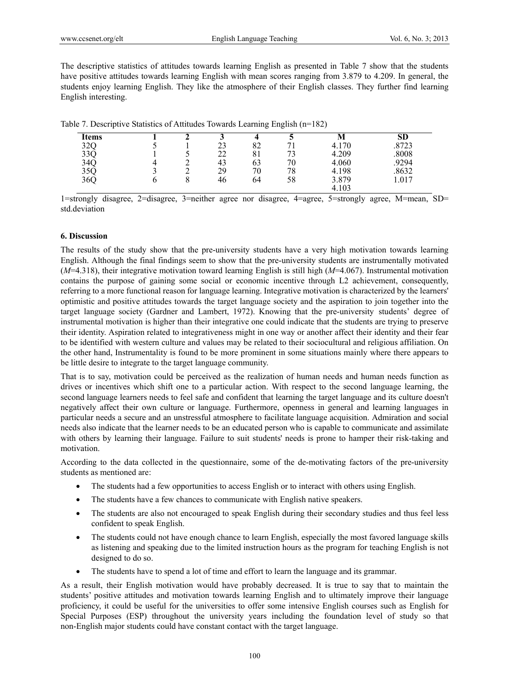The descriptive statistics of attitudes towards learning English as presented in Table 7 show that the students have positive attitudes towards learning English with mean scores ranging from 3.879 to 4.209. In general, the students enjoy learning English. They like the atmosphere of their English classes. They further find learning English interesting.

| Table 7. Descriptive Statistics of Attitudes Towards Learning English (n=182) |  |
|-------------------------------------------------------------------------------|--|
|-------------------------------------------------------------------------------|--|

| <b>Items</b> |  |    |    |    | M     | SD    |
|--------------|--|----|----|----|-------|-------|
| 32Q          |  | 23 | 82 |    | 4.170 | .8723 |
| 33Q          |  | 22 | 81 | 72 | 4.209 | .8008 |
| 34Q          |  | 43 | 63 | 70 | 4.060 | 9294  |
| 35Q          |  | 29 | 70 | 78 | 4.198 | .8632 |
| 36Q          |  | 46 | 64 | 58 | 3.879 | 1.017 |
|              |  |    |    |    | 4.103 |       |

1=strongly disagree, 2=disagree, 3=neither agree nor disagree, 4=agree, 5=strongly agree, M=mean, SD= std.deviation

## **6. Discussion**

The results of the study show that the pre-university students have a very high motivation towards learning English. Although the final findings seem to show that the pre-university students are instrumentally motivated (*M*=4.318), their integrative motivation toward learning English is still high (*M*=4.067). Instrumental motivation contains the purpose of gaining some social or economic incentive through L2 achievement, consequently, referring to a more functional reason for language learning. Integrative motivation is characterized by the learners' optimistic and positive attitudes towards the target language society and the aspiration to join together into the target language society (Gardner and Lambert, 1972). Knowing that the pre-university students' degree of instrumental motivation is higher than their integrative one could indicate that the students are trying to preserve their identity. Aspiration related to integrativeness might in one way or another affect their identity and their fear to be identified with western culture and values may be related to their sociocultural and religious affiliation. On the other hand, Instrumentality is found to be more prominent in some situations mainly where there appears to be little desire to integrate to the target language community.

That is to say, motivation could be perceived as the realization of human needs and human needs function as drives or incentives which shift one to a particular action. With respect to the second language learning, the second language learners needs to feel safe and confident that learning the target language and its culture doesn't negatively affect their own culture or language. Furthermore, openness in general and learning languages in particular needs a secure and an unstressful atmosphere to facilitate language acquisition. Admiration and social needs also indicate that the learner needs to be an educated person who is capable to communicate and assimilate with others by learning their language. Failure to suit students' needs is prone to hamper their risk-taking and motivation.

According to the data collected in the questionnaire, some of the de-motivating factors of the pre-university students as mentioned are:

- The students had a few opportunities to access English or to interact with others using English.
- The students have a few chances to communicate with English native speakers.
- The students are also not encouraged to speak English during their secondary studies and thus feel less confident to speak English.
- The students could not have enough chance to learn English, especially the most favored language skills as listening and speaking due to the limited instruction hours as the program for teaching English is not designed to do so.
- The students have to spend a lot of time and effort to learn the language and its grammar.

As a result, their English motivation would have probably decreased. It is true to say that to maintain the students' positive attitudes and motivation towards learning English and to ultimately improve their language proficiency, it could be useful for the universities to offer some intensive English courses such as English for Special Purposes (ESP) throughout the university years including the foundation level of study so that non-English major students could have constant contact with the target language.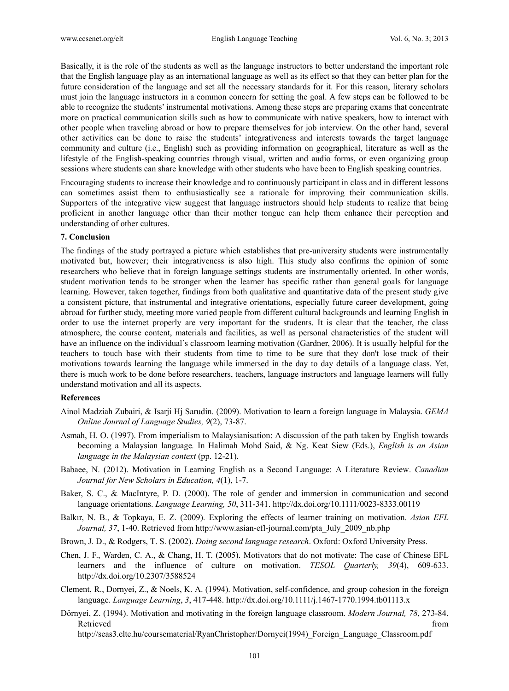Basically, it is the role of the students as well as the language instructors to better understand the important role that the English language play as an international language as well as its effect so that they can better plan for the future consideration of the language and set all the necessary standards for it. For this reason, literary scholars must join the language instructors in a common concern for setting the goal. A few steps can be followed to be able to recognize the students' instrumental motivations. Among these steps are preparing exams that concentrate more on practical communication skills such as how to communicate with native speakers, how to interact with other people when traveling abroad or how to prepare themselves for job interview. On the other hand, several other activities can be done to raise the students' integrativeness and interests towards the target language community and culture (i.e., English) such as providing information on geographical, literature as well as the lifestyle of the English-speaking countries through visual, written and audio forms, or even organizing group sessions where students can share knowledge with other students who have been to English speaking countries.

Encouraging students to increase their knowledge and to continuously participant in class and in different lessons can sometimes assist them to enthusiastically see a rationale for improving their communication skills. Supporters of the integrative view suggest that language instructors should help students to realize that being proficient in another language other than their mother tongue can help them enhance their perception and understanding of other cultures.

#### **7. Conclusion**

The findings of the study portrayed a picture which establishes that pre-university students were instrumentally motivated but, however; their integrativeness is also high. This study also confirms the opinion of some researchers who believe that in foreign language settings students are instrumentally oriented. In other words, student motivation tends to be stronger when the learner has specific rather than general goals for language learning. However, taken together, findings from both qualitative and quantitative data of the present study give a consistent picture, that instrumental and integrative orientations, especially future career development, going abroad for further study, meeting more varied people from different cultural backgrounds and learning English in order to use the internet properly are very important for the students. It is clear that the teacher, the class atmosphere, the course content, materials and facilities, as well as personal characteristics of the student will have an influence on the individual's classroom learning motivation (Gardner, 2006). It is usually helpful for the teachers to touch base with their students from time to time to be sure that they don't lose track of their motivations towards learning the language while immersed in the day to day details of a language class. Yet, there is much work to be done before researchers, teachers, language instructors and language learners will fully understand motivation and all its aspects.

#### **References**

- Ainol Madziah Zubairi, & Isarji Hj Sarudin. (2009). Motivation to learn a foreign language in Malaysia. *GEMA Online Journal of Language Studies, 9*(2), 73-87.
- Asmah, H. O. (1997). From imperialism to Malaysianisation: A discussion of the path taken by English towards becoming a Malaysian language*.* In Halimah Mohd Said, & Ng. Keat Siew (Eds.), *English is an Asian language in the Malaysian context* (pp. 12-21).
- Babaee, N. (2012). Motivation in Learning English as a Second Language: A Literature Review. *Canadian Journal for New Scholars in Education, 4*(1), 1-7.
- Baker, S. C., & MacIntyre, P. D. (2000). The role of gender and immersion in communication and second language orientations. *Language Learning, 50*, 311-341. http://dx.doi.org/10.1111/0023-8333.00119
- Balkır, N. B., & Topkaya, E. Z. (2009). Exploring the effects of learner training on motivation. *Asian EFL Journal, 37*, 1-40. Retrieved from http://www.asian-efl-journal.com/pta\_July\_2009\_nb.php
- Brown, J. D., & Rodgers, T. S. (2002). *Doing second language research*. Oxford: Oxford University Press.
- Chen, J. F., Warden, C. A., & Chang, H. T. (2005). Motivators that do not motivate: The case of Chinese EFL learners and the influence of culture on motivation. *TESOL Quarterly, 39*(4), 609-633. http://dx.doi.org/10.2307/3588524
- Clement, R., Dornyei, Z., & Noels, K. A. (1994). Motivation, self-confidence, and group cohesion in the foreign language. *Language Learning*, *3*, 417-448. http://dx.doi.org/10.1111/j.1467-1770.1994.tb01113.x
- Dörnyei, Z. (1994). Motivation and motivating in the foreign language classroom. *Modern Journal, 78*, 273-84. Retrieved that the contract of the contract of the contract of the contract of the contract of the contract of the contract of the contract of the contract of the contract of the contract of the contract of the contract of

http://seas3.elte.hu/coursematerial/RyanChristopher/Dornyei(1994)\_Foreign\_Language\_Classroom.pdf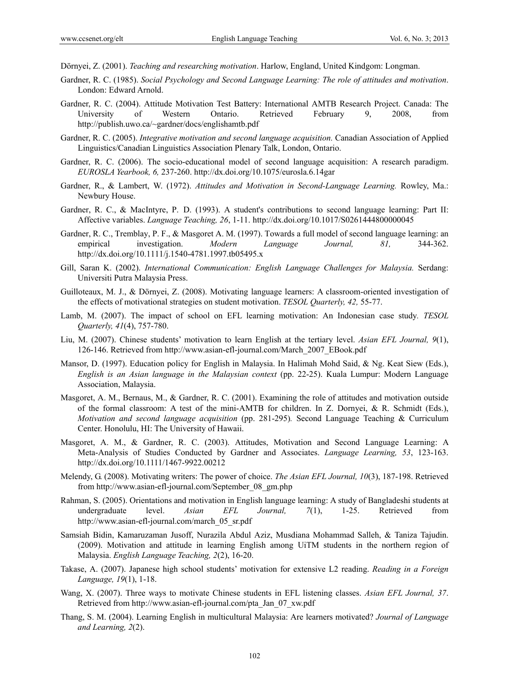Dörnyei, Z. (2001). *Teaching and researching motivation*. Harlow, England, United Kindgom: Longman.

- Gardner, R. C. (1985). *Social Psychology and Second Language Learning: The role of attitudes and motivation*. London: Edward Arnold.
- Gardner, R. C. (2004). Attitude Motivation Test Battery: International AMTB Research Project. Canada: The University of Western Ontario. Retrieved February 9, 2008, from http://publish.uwo.ca/~gardner/docs/englishamtb.pdf
- Gardner, R. C. (2005). *Integrative motivation and second language acquisition.* Canadian Association of Applied Linguistics/Canadian Linguistics Association Plenary Talk, London, Ontario.
- Gardner, R. C. (2006). The socio-educational model of second language acquisition: A research paradigm. *EUROSLA Yearbook, 6,* 237-260. http://dx.doi.org/10.1075/eurosla.6.14gar
- Gardner, R., & Lambert, W. (1972). *Attitudes and Motivation in Second-Language Learning.* Rowley, Ma.: Newbury House.
- Gardner, R. C., & MacIntyre, P. D. (1993). A student's contributions to second language learning: Part II: Affective variables. *Language Teaching, 26*, 1-11. http://dx.doi.org/10.1017/S0261444800000045
- Gardner, R. C., Tremblay, P. F., & Masgoret A. M. (1997). Towards a full model of second language learning: an empirical investigation. *Modern Language Journal, 81,* 344-362. http://dx.doi.org/10.1111/j.1540-4781.1997.tb05495.x
- Gill, Saran K. (2002). *International Communication: English Language Challenges for Malaysia.* Serdang: Universiti Putra Malaysia Press.
- Guilloteaux, M. J., & Dörnyei, Z. (2008). Motivating language learners: A classroom-oriented investigation of the effects of motivational strategies on student motivation. *TESOL Quarterly, 42,* 55-77.
- Lamb, M. (2007). The impact of school on EFL learning motivation: An Indonesian case study*. TESOL Quarterly, 41*(4), 757-780.
- Liu, M. (2007). Chinese students' motivation to learn English at the tertiary level. *Asian EFL Journal, 9*(1), 126-146. Retrieved from http://www.asian-efl-journal.com/March\_2007\_EBook.pdf
- Mansor, D. (1997). Education policy for English in Malaysia. In Halimah Mohd Said, & Ng. Keat Siew (Eds.), *English is an Asian language in the Malaysian context* (pp. 22-25). Kuala Lumpur: Modern Language Association, Malaysia.
- Masgoret, A. M., Bernaus, M., & Gardner, R. C. (2001). Examining the role of attitudes and motivation outside of the formal classroom: A test of the mini-AMTB for children. In Z. Dornyei, & R. Schmidt (Eds.), *Motivation and second language acquisition* (pp. 281-295)*.* Second Language Teaching & Curriculum Center. Honolulu, HI: The University of Hawaii.
- Masgoret, A. M., & Gardner, R. C. (2003). Attitudes, Motivation and Second Language Learning: A Meta-Analysis of Studies Conducted by Gardner and Associates. *Language Learning, 53*, 123-163. http://dx.doi.org/10.1111/1467-9922.00212
- Melendy, G. (2008). Motivating writers: The power of choice. *The Asian EFL Journal, 10*(3), 187-198. Retrieved from http://www.asian-efl-journal.com/September\_08\_gm.php
- Rahman, S. (2005). Orientations and motivation in English language learning: A study of Bangladeshi students at undergraduate level. *Asian EFL Journal, 7*(1), 1-25. Retrieved from http://www.asian-efl-journal.com/march\_05\_sr.pdf
- Samsiah Bidin, Kamaruzaman Jusoff, Nurazila Abdul Aziz, Musdiana Mohammad Salleh, & Taniza Tajudin. (2009). Motivation and attitude in learning English among UiTM students in the northern region of Malaysia. *English Language Teaching, 2*(2), 16-20.
- Takase, A. (2007). Japanese high school students' motivation for extensive L2 reading. *Reading in a Foreign Language, 19*(1), 1-18.
- Wang, X. (2007). Three ways to motivate Chinese students in EFL listening classes. *Asian EFL Journal, 37*. Retrieved from http://www.asian-efl-journal.com/pta\_Jan\_07\_xw.pdf
- Thang, S. M. (2004). Learning English in multicultural Malaysia: Are learners motivated? *Journal of Language and Learning, 2*(2).